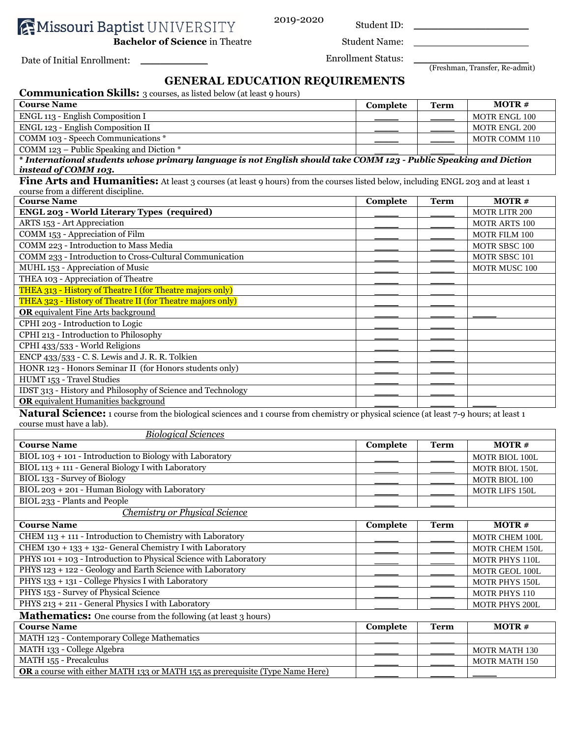**AMissouri Baptist UNIVERSITY** 

2019-2020 Student ID: \_\_\_\_\_\_\_\_\_\_\_\_\_\_\_\_\_\_\_\_\_\_\_\_

**Bachelor of Science** in Theatre Student Name:

Date of Initial Enrollment: \_\_\_\_\_\_\_\_\_\_\_\_\_\_ Enrollment Status: \_\_\_\_\_\_\_\_\_\_\_\_\_\_\_\_\_\_\_\_\_\_\_\_

(Freshman, Transfer, Re-admit)

## **GENERAL EDUCATION REQUIREMENTS**

| <b>Communication Skills:</b> 3 courses, as listed below (at least 9 hours)                                                                                         |                 |             |                      |
|--------------------------------------------------------------------------------------------------------------------------------------------------------------------|-----------------|-------------|----------------------|
| <b>Course Name</b>                                                                                                                                                 | Complete        | <b>Term</b> | <b>MOTR#</b>         |
| ENGL 113 - English Composition I                                                                                                                                   |                 |             | MOTR ENGL 100        |
| ENGL 123 - English Composition II                                                                                                                                  |                 |             | MOTR ENGL 200        |
| COMM 103 - Speech Communications *                                                                                                                                 |                 |             | MOTR COMM 110        |
| COMM 123 – Public Speaking and Diction $*$                                                                                                                         |                 |             |                      |
| * International students whose primary language is not English should take COMM 123 - Public Speaking and Diction                                                  |                 |             |                      |
| instead of COMM 103.                                                                                                                                               |                 |             |                      |
| Fine Arts and Humanities: At least 3 courses (at least 9 hours) from the courses listed below, including ENGL 203 and at least 1                                   |                 |             |                      |
| course from a different discipline.                                                                                                                                |                 |             |                      |
| <b>Course Name</b><br><b>ENGL 203 - World Literary Types (required)</b>                                                                                            | Complete        | <b>Term</b> | <b>MOTR#</b>         |
| ARTS 153 - Art Appreciation                                                                                                                                        |                 |             | MOTR LITR 200        |
| COMM 153 - Appreciation of Film                                                                                                                                    |                 |             | MOTR ARTS 100        |
| COMM 223 - Introduction to Mass Media                                                                                                                              |                 |             | MOTR FILM 100        |
| COMM 233 - Introduction to Cross-Cultural Communication                                                                                                            |                 |             | MOTR SBSC 100        |
| MUHL 153 - Appreciation of Music                                                                                                                                   |                 |             | MOTR SBSC 101        |
| THEA 103 - Appreciation of Theatre                                                                                                                                 |                 |             | MOTR MUSC 100        |
| THEA 313 - History of Theatre I (for Theatre majors only)                                                                                                          |                 |             |                      |
| THEA 323 - History of Theatre II (for Theatre majors only)                                                                                                         |                 |             |                      |
| <b>OR</b> equivalent Fine Arts background                                                                                                                          |                 |             |                      |
|                                                                                                                                                                    |                 |             |                      |
| CPHI 203 - Introduction to Logic                                                                                                                                   |                 |             |                      |
| CPHI 213 - Introduction to Philosophy                                                                                                                              |                 |             |                      |
| CPHI 433/533 - World Religions                                                                                                                                     |                 |             |                      |
| ENCP 433/533 - C. S. Lewis and J. R. R. Tolkien                                                                                                                    |                 |             |                      |
| HONR 123 - Honors Seminar II (for Honors students only)<br>HUMT 153 - Travel Studies                                                                               |                 |             |                      |
| IDST 313 - History and Philosophy of Science and Technology                                                                                                        |                 |             |                      |
| <b>OR</b> equivalent Humanities background                                                                                                                         |                 |             |                      |
|                                                                                                                                                                    |                 |             |                      |
| Natural Science: 1 course from the biological sciences and 1 course from chemistry or physical science (at least 7-9 hours; at least 1<br>course must have a lab). |                 |             |                      |
| <b>Biological Sciences</b>                                                                                                                                         |                 |             |                      |
| <b>Course Name</b>                                                                                                                                                 | Complete        | <b>Term</b> | <b>MOTR#</b>         |
| BIOL 103 + 101 - Introduction to Biology with Laboratory                                                                                                           |                 |             | MOTR BIOL 100L       |
| BIOL 113 + 111 - General Biology I with Laboratory                                                                                                                 |                 |             | MOTR BIOL 150L       |
| BIOL 133 - Survey of Biology                                                                                                                                       |                 |             | MOTR BIOL 100        |
| BIOL 203 + 201 - Human Biology with Laboratory                                                                                                                     |                 |             | MOTR LIFS 150L       |
| BIOL 233 - Plants and People                                                                                                                                       |                 |             |                      |
| <b>Chemistry or Physical Science</b>                                                                                                                               |                 |             |                      |
| <b>Course Name</b>                                                                                                                                                 | <b>Complete</b> | <b>Term</b> | <b>MOTR#</b>         |
| CHEM 113 + 111 - Introduction to Chemistry with Laboratory                                                                                                         |                 |             |                      |
| CHEM 130 + 133 + 132- General Chemistry I with Laboratory                                                                                                          |                 |             | MOTR CHEM 100L       |
| PHYS 101 + 103 - Introduction to Physical Science with Laboratory                                                                                                  |                 |             | MOTR CHEM 150L       |
| PHYS 123 + 122 - Geology and Earth Science with Laboratory                                                                                                         |                 |             | MOTR PHYS 110L       |
| PHYS 133 + 131 - College Physics I with Laboratory                                                                                                                 |                 |             | MOTR GEOL 100L       |
|                                                                                                                                                                    |                 |             | MOTR PHYS 150L       |
| PHYS 153 - Survey of Physical Science                                                                                                                              |                 |             | MOTR PHYS 110        |
| PHYS 213 + 211 - General Physics I with Laboratory                                                                                                                 |                 |             | MOTR PHYS 200L       |
| <b>Mathematics:</b> One course from the following (at least 3 hours)                                                                                               |                 |             |                      |
| <b>Course Name</b>                                                                                                                                                 | <b>Complete</b> | <b>Term</b> | <b>MOTR#</b>         |
| MATH 123 - Contemporary College Mathematics                                                                                                                        |                 |             |                      |
| MATH 133 - College Algebra                                                                                                                                         |                 |             | <b>MOTR MATH 130</b> |
| MATH 155 - Precalculus                                                                                                                                             |                 |             | MOTR MATH 150        |
| OR a course with either MATH 133 or MATH 155 as prerequisite (Type Name Here)                                                                                      |                 |             |                      |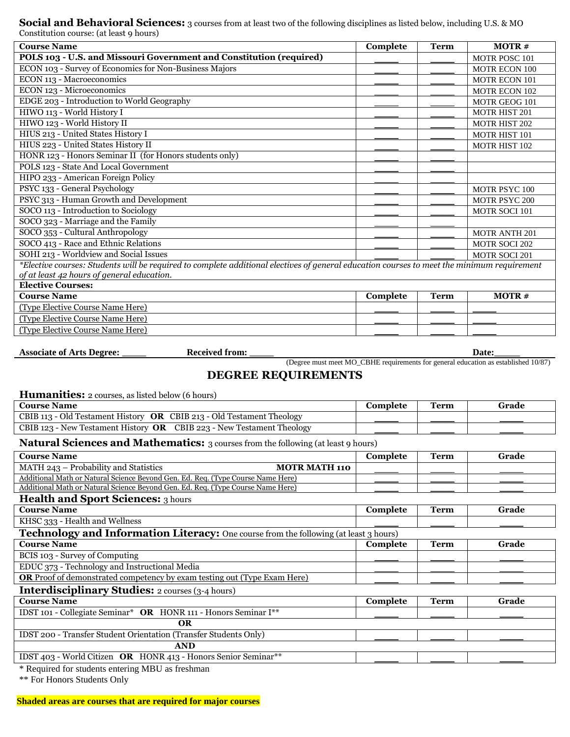**Social and Behavioral Sciences:** 3 courses from at least two of the following disciplines as listed below, including U.S. & MO Constitution course: (at least 9 hours)

| <b>Course Name</b>                                                                                                                         | <b>Complete</b> | <b>Term</b> | <b>MOTR#</b>         |
|--------------------------------------------------------------------------------------------------------------------------------------------|-----------------|-------------|----------------------|
| POLS 103 - U.S. and Missouri Government and Constitution (required)                                                                        |                 |             | <b>MOTR POSC 101</b> |
| ECON 103 - Survey of Economics for Non-Business Majors                                                                                     |                 |             | MOTR ECON 100        |
| ECON 113 - Macroeconomics                                                                                                                  |                 |             | MOTR ECON 101        |
| ECON 123 - Microeconomics                                                                                                                  |                 |             | <b>MOTR ECON 102</b> |
| EDGE 203 - Introduction to World Geography                                                                                                 |                 |             | MOTR GEOG 101        |
| HIWO 113 - World History I                                                                                                                 |                 |             | <b>MOTR HIST 201</b> |
| HIWO 123 - World History II                                                                                                                |                 |             | <b>MOTR HIST 202</b> |
| HIUS 213 - United States History I                                                                                                         |                 |             | <b>MOTR HIST 101</b> |
| HIUS 223 - United States History II                                                                                                        |                 |             | MOTR HIST 102        |
| HONR 123 - Honors Seminar II (for Honors students only)                                                                                    |                 |             |                      |
| POLS 123 - State And Local Government                                                                                                      |                 |             |                      |
| HIPO 233 - American Foreign Policy                                                                                                         |                 |             |                      |
| PSYC 133 - General Psychology                                                                                                              |                 |             | <b>MOTR PSYC 100</b> |
| PSYC 313 - Human Growth and Development                                                                                                    |                 |             | <b>MOTR PSYC 200</b> |
| SOCO 113 - Introduction to Sociology                                                                                                       |                 |             | <b>MOTR SOCI 101</b> |
| SOCO 323 - Marriage and the Family                                                                                                         |                 |             |                      |
| SOCO 353 - Cultural Anthropology                                                                                                           |                 |             | <b>MOTR ANTH 201</b> |
| SOCO 413 - Race and Ethnic Relations                                                                                                       |                 |             | <b>MOTR SOCI 202</b> |
| SOHI 213 - Worldview and Social Issues                                                                                                     |                 |             | MOTR SOCI 201        |
| *Elective courses: Students will be required to complete additional electives of general education courses to meet the minimum requirement |                 |             |                      |
| of at least 42 hours of general education.                                                                                                 |                 |             |                      |
| <b>Elective Courses:</b>                                                                                                                   |                 |             |                      |
| <b>Course Name</b>                                                                                                                         | Complete        | <b>Term</b> | MOTR#                |
| (Type Elective Course Name Here)                                                                                                           |                 |             |                      |
| (Type Elective Course Name Here)                                                                                                           |                 |             |                      |
| (Type Elective Course Name Here)                                                                                                           |                 |             |                      |

Associate of Arts Degree: \_\_\_\_\_ **Received from: \_\_\_\_**  Date:

### (Degree must meet MO\_CBHE requirements for general education as established 10/87) **DEGREE REQUIREMENTS**

**Humanities:** 2 courses, as listed below (6 hours)

| <b>Course Name</b>                                                           | Complete | <b>Term</b> | Grade |
|------------------------------------------------------------------------------|----------|-------------|-------|
| CBIB 113 - Old Testament History <b>OR</b> CBIB 213 - Old Testament Theology |          |             |       |
| CBIB 123 - New Testament History <b>OR</b> CBIB 223 - New Testament Theology |          |             |       |

#### **Natural Sciences and Mathematics:** 3 courses from the following (at least 9 hours)

| <b>Course Name</b>                                                                           | Complete | <b>Term</b> | Grade |
|----------------------------------------------------------------------------------------------|----------|-------------|-------|
| MATH 243 - Probability and Statistics<br><b>MOTR MATH 110</b>                                |          |             |       |
| Additional Math or Natural Science Beyond Gen. Ed. Req. (Type Course Name Here)              |          |             |       |
| Additional Math or Natural Science Beyond Gen. Ed. Req. (Type Course Name Here)              |          |             |       |
| <b>Health and Sport Sciences:</b> 3 hours                                                    |          |             |       |
| <b>Course Name</b>                                                                           | Complete | <b>Term</b> | Grade |
| KHSC 333 - Health and Wellness                                                               |          |             |       |
| <b>Technology and Information Literacy:</b> One course from the following (at least 3 hours) |          |             |       |
| <b>Course Name</b>                                                                           | Complete | <b>Term</b> | Grade |
| BCIS 103 - Survey of Computing                                                               |          |             |       |
| EDUC 373 - Technology and Instructional Media                                                |          |             |       |
| <b>OR</b> Proof of demonstrated competency by exam testing out (Type Exam Here)              |          |             |       |
| <b>Interdisciplinary Studies:</b> 2 courses (3-4 hours)                                      |          |             |       |
| <b>Course Name</b>                                                                           | Complete | <b>Term</b> | Grade |
| IDST 101 - Collegiate Seminar* OR HONR 111 - Honors Seminar I**                              |          |             |       |
| <b>OR</b>                                                                                    |          |             |       |
| IDST 200 - Transfer Student Orientation (Transfer Students Only)                             |          |             |       |
| <b>AND</b>                                                                                   |          |             |       |
| IDST 403 - World Citizen OR HONR 413 - Honors Senior Seminar**                               |          |             |       |
| * Required for students entering MRII as freshman                                            |          |             |       |

 $\epsilon$  required for students entering MBU as freshman

\*\* For Honors Students Only